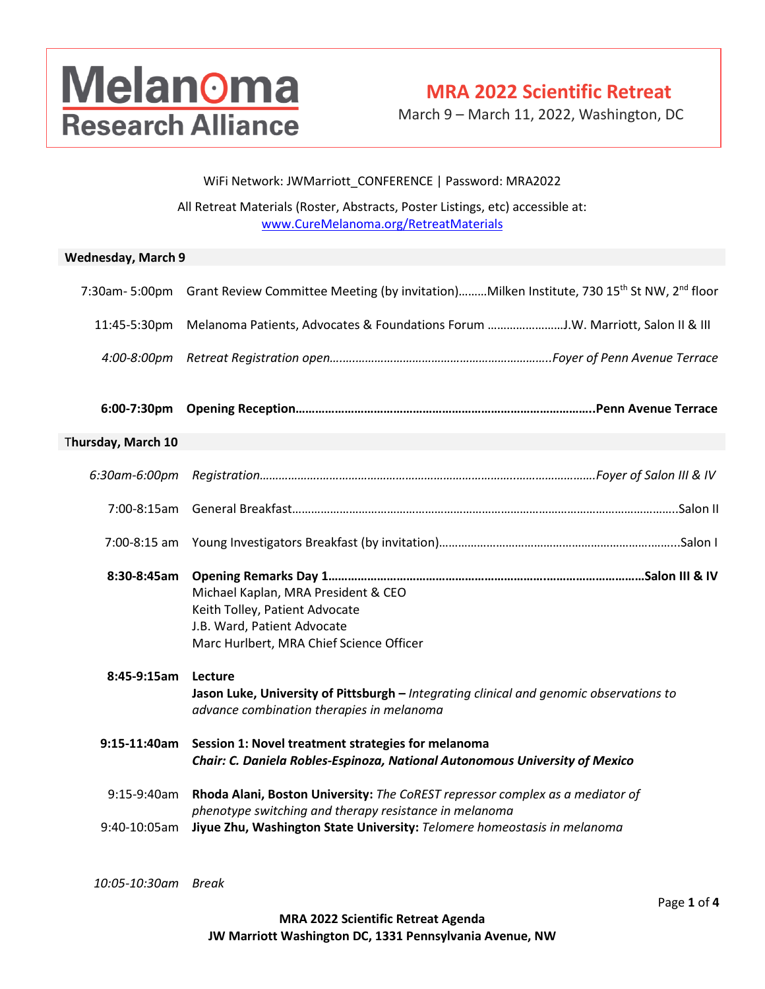## **Melanoma Research Alliance**

## **MRA 2022 Scientific Retreat**

March 9 – March 11, 2022, Washington, DC

#### WiFi Network: JWMarriott\_CONFERENCE | Password: MRA2022

All Retreat Materials (Roster, Abstracts, Poster Listings, etc) accessible at: [www.CureMelanoma.org/RetreatMaterials](http://www.curemelanoma.org/RetreatMaterials)

#### **Wednesday, March 9**

| 7:30am-5:00pm      | Grant Review Committee Meeting (by invitation) Milken Institute, 730 15 <sup>th</sup> St NW, 2 <sup>nd</sup> floor                               |
|--------------------|--------------------------------------------------------------------------------------------------------------------------------------------------|
| 11:45-5:30pm       | Melanoma Patients, Advocates & Foundations Forum J.W. Marriott, Salon II & III                                                                   |
| 4:00-8:00pm        |                                                                                                                                                  |
| 6:00-7:30pm        |                                                                                                                                                  |
| Thursday, March 10 |                                                                                                                                                  |
| 6:30am-6:00pm      |                                                                                                                                                  |
| 7:00-8:15am        |                                                                                                                                                  |
| 7:00-8:15 am       |                                                                                                                                                  |
| 8:30-8:45am        | Michael Kaplan, MRA President & CEO<br>Keith Tolley, Patient Advocate<br>J.B. Ward, Patient Advocate<br>Marc Hurlbert, MRA Chief Science Officer |
| $8:45-9:15am$      | Lecture<br>Jason Luke, University of Pittsburgh - Integrating clinical and genomic observations to<br>advance combination therapies in melanoma  |
| 9:15-11:40am       | Session 1: Novel treatment strategies for melanoma<br>Chair: C. Daniela Robles-Espinoza, National Autonomous University of Mexico                |
| 9:15-9:40am        | Rhoda Alani, Boston University: The CoREST repressor complex as a mediator of<br>phenotype switching and therapy resistance in melanoma          |
| 9:40-10:05am       | Jiyue Zhu, Washington State University: Telomere homeostasis in melanoma                                                                         |
|                    |                                                                                                                                                  |

*10:05-10:30am Break*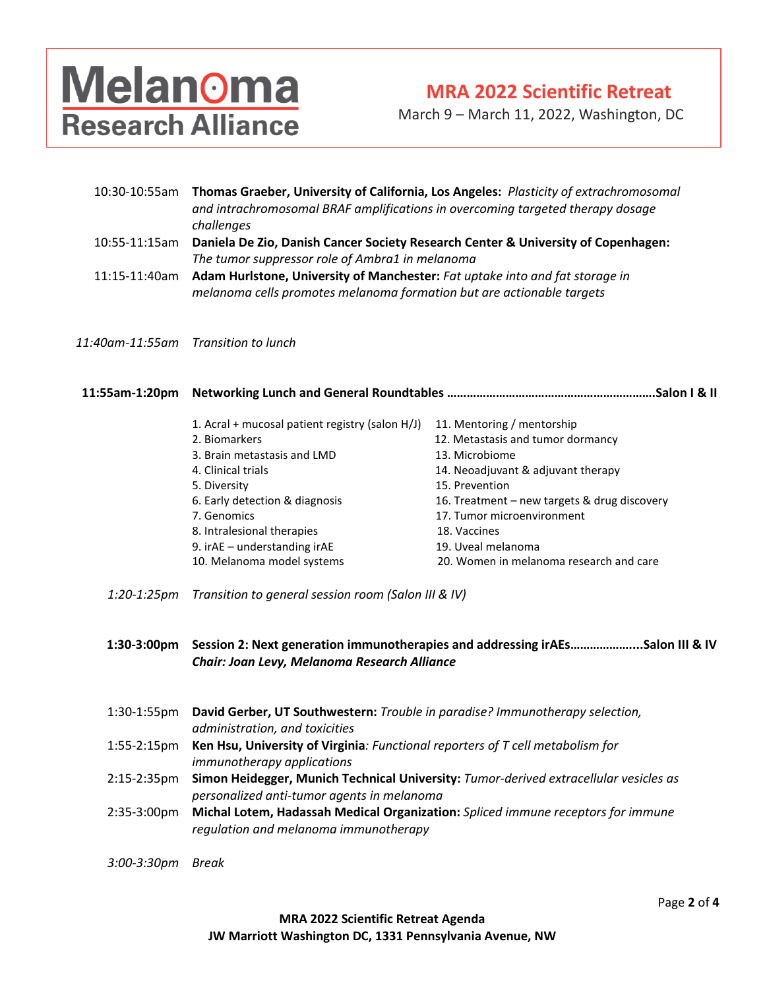# **Melanoma Research Alliance**

### **MRA 2022 Scientific Retreat**

March 9 – March 11, 2022, Washington, DC

| 10:30-10:55am | Thomas Graeber, University of California, Los Angeles: Plasticity of extrachromosomal<br>and intrachromosomal BRAF amplifications in overcoming targeted therapy dosage<br>challenges |
|---------------|---------------------------------------------------------------------------------------------------------------------------------------------------------------------------------------|
| 10:55-11:15am | Daniela De Zio, Danish Cancer Society Research Center & University of Copenhagen:<br>The tumor suppressor role of Ambra1 in melanoma                                                  |
| 11:15-11:40am | Adam Hurlstone, University of Manchester: Fat uptake into and fat storage in<br>melanoma cells promotes melanoma formation but are actionable targets                                 |
|               |                                                                                                                                                                                       |

*11:40am-11:55am Transition to lunch*

| Salon I & II                                    |                                              |
|-------------------------------------------------|----------------------------------------------|
| 1. Acral + mucosal patient registry (salon H/J) | 11. Mentoring / mentorship                   |
| 2. Biomarkers                                   | 12. Metastasis and tumor dormancy            |
| 3. Brain metastasis and LMD                     | 13. Microbiome                               |
| 4. Clinical trials                              | 14. Neoadjuvant & adjuvant therapy           |
| 5. Diversity                                    | 15. Prevention                               |
| 6. Early detection & diagnosis                  | 16. Treatment – new targets & drug discovery |
| 7. Genomics                                     | 17. Tumor microenvironment                   |
| 8. Intralesional therapies                      | 18. Vaccines                                 |
| 9. ir $AE$ – understanding ir $AE$              | 19. Uveal melanoma                           |
| 10. Melanoma model systems                      | 20. Women in melanoma research and care      |
|                                                 |                                              |

*1:20-1:25pm Transition to general session room (Salon III & IV)*

**1:30-3:00pm Session 2: Next generation immunotherapies and addressing irAEs………………....Salon III & IV** *Chair: Joan Levy, Melanoma Research Alliance*

- 1:30-1:55pm **David Gerber, UT Southwestern:** *Trouble in paradise? Immunotherapy selection, administration, and toxicities*
- 1:55-2:15pm **Ken Hsu, University of Virginia***: Functional reporters of T cell metabolism for immunotherapy applications*
- 2:15-2:35pm **Simon Heidegger, Munich Technical University:** *Tumor-derived extracellular vesicles as personalized anti-tumor agents in melanoma*
- 2:35-3:00pm **Michal Lotem, Hadassah Medical Organization:** *Spliced immune receptors for immune regulation and melanoma immunotherapy*

*3:00-3:30pm Break*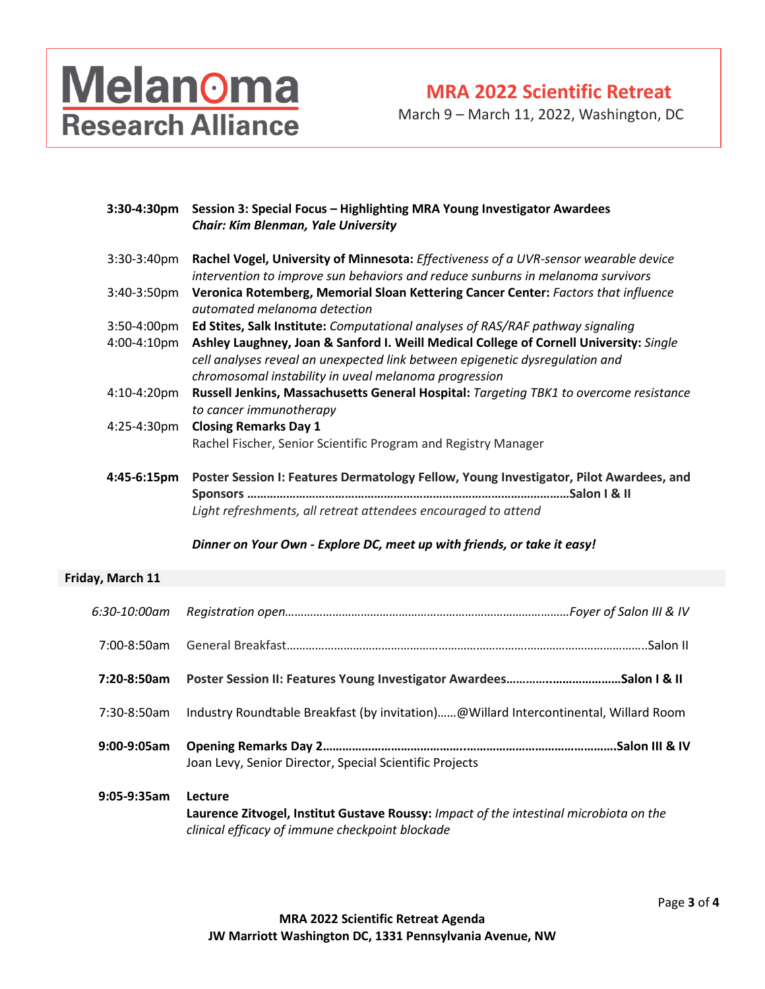# Melanoma<br>Research Alliance

**MRA 2022 Scientific Retreat**

March 9 – March 11, 2022, Washington, DC

|                  | 3:30-4:30pm Session 3: Special Focus - Highlighting MRA Young Investigator Awardees<br><b>Chair: Kim Blenman, Yale University</b>                                                                                               |  |
|------------------|---------------------------------------------------------------------------------------------------------------------------------------------------------------------------------------------------------------------------------|--|
| 3:30-3:40pm      | Rachel Vogel, University of Minnesota: Effectiveness of a UVR-sensor wearable device<br>intervention to improve sun behaviors and reduce sunburns in melanoma survivors                                                         |  |
| 3:40-3:50pm      | Veronica Rotemberg, Memorial Sloan Kettering Cancer Center: Factors that influence<br>automated melanoma detection                                                                                                              |  |
| 3:50-4:00pm      | Ed Stites, Salk Institute: Computational analyses of RAS/RAF pathway signaling                                                                                                                                                  |  |
| 4:00-4:10pm      | Ashley Laughney, Joan & Sanford I. Weill Medical College of Cornell University: Single<br>cell analyses reveal an unexpected link between epigenetic dysregulation and<br>chromosomal instability in uveal melanoma progression |  |
| 4:10-4:20pm      | Russell Jenkins, Massachusetts General Hospital: Targeting TBK1 to overcome resistance<br>to cancer immunotherapy                                                                                                               |  |
| 4:25-4:30pm      | <b>Closing Remarks Day 1</b>                                                                                                                                                                                                    |  |
|                  | Rachel Fischer, Senior Scientific Program and Registry Manager                                                                                                                                                                  |  |
| 4:45-6:15pm      | Poster Session I: Features Dermatology Fellow, Young Investigator, Pilot Awardees, and                                                                                                                                          |  |
|                  | Light refreshments, all retreat attendees encouraged to attend                                                                                                                                                                  |  |
|                  | Dinner on Your Own - Explore DC, meet up with friends, or take it easy!                                                                                                                                                         |  |
| Friday, March 11 |                                                                                                                                                                                                                                 |  |
| 6:30-10:00am     |                                                                                                                                                                                                                                 |  |
| 7:00-8:50am      |                                                                                                                                                                                                                                 |  |
| 7:20-8:50am      |                                                                                                                                                                                                                                 |  |
| 7:30-8:50am      | Industry Roundtable Breakfast (by invitation)@Willard Intercontinental, Willard Room                                                                                                                                            |  |
| 9:00-9:05am      | Joan Levy, Senior Director, Special Scientific Projects                                                                                                                                                                         |  |
| 9:05-9:35am      | Lecture<br>Laurence Zitvogel, Institut Gustave Roussy: Impact of the intestinal microbiota on the<br>clinical efficacy of immune checkpoint blockade                                                                            |  |